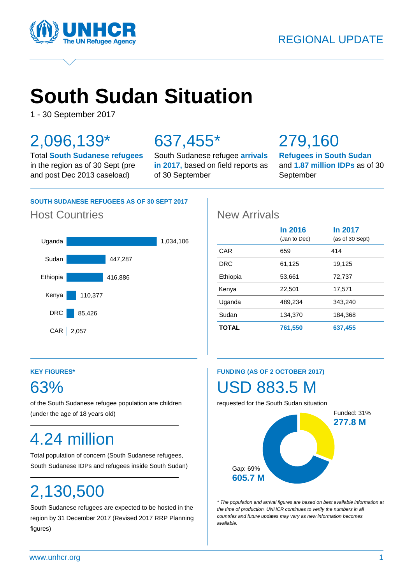

# **South Sudan Situation**

1 - 30 September 2017

## 2,096,139\*

Total **South Sudanese refugees** in the region as of 30 Sept (pre and post Dec 2013 caseload)

## 637,455\*

South Sudanese refugee **arrivals in 2017,** based on field reports as of 30 September

## 279,160

**Refugees in South Sudan** and **1.87 million IDPs** as of 30 September

### **SOUTH SUDANESE REFUGEES AS OF 30 SEPT 2017**

## Host Countries **New Arrivals**



|              | <b>In 2016</b><br>(Jan to Dec) | In 2017<br>(as of 30 Sept) |
|--------------|--------------------------------|----------------------------|
| CAR          | 659                            | 414                        |
| DRC          | 61,125                         | 19,125                     |
| Ethiopia     | 53,661                         | 72,737                     |
| Kenya        | 22,501                         | 17,571                     |
| Uganda       | 489,234                        | 343.240                    |
| Sudan        | 134,370                        | 184,368                    |
| <b>TOTAL</b> | 761,550                        | 637,455                    |

### **KEY FIGURES\***

## 63%

of the South Sudanese refugee population are children (under the age of 18 years old)

## 4.24 million

Total population of concern (South Sudanese refugees, South Sudanese IDPs and refugees inside South Sudan)

## 2,130,500

South Sudanese refugees are expected to be hosted in the region by 31 December 2017 (Revised 2017 RRP Planning figures)

## **FUNDING (AS OF 2 OCTOBER 2017)**

## USD 883.5 M

requested for the South Sudan situation



*\* The population and arrival figures are based on best available information at the time of production. UNHCR continues to verify the numbers in all countries and future updates may vary as new information becomes available.*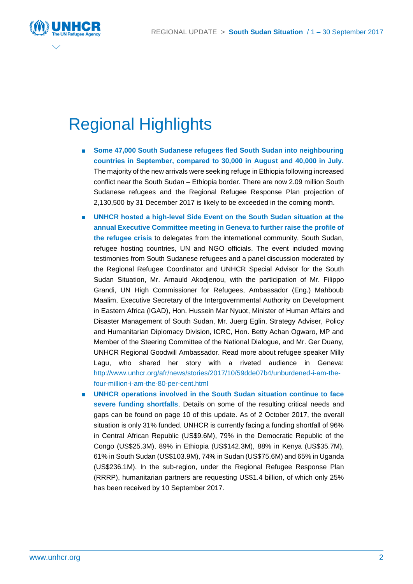

## Regional Highlights

- **Some 47,000 South Sudanese refugees fled South Sudan into neighbouring countries in September, compared to 30,000 in August and 40,000 in July.** The majority of the new arrivals were seeking refuge in Ethiopia following increased conflict near the South Sudan – Ethiopia border. There are now 2.09 million South Sudanese refugees and the Regional Refugee Response Plan projection of 2,130,500 by 31 December 2017 is likely to be exceeded in the coming month.
- **UNHCR hosted a high-level Side Event on the South Sudan situation at the annual Executive Committee meeting in Geneva to further raise the profile of the refugee crisis** to delegates from the international community, South Sudan, refugee hosting countries, UN and NGO officials. The event included moving testimonies from South Sudanese refugees and a panel discussion moderated by the Regional Refugee Coordinator and UNHCR Special Advisor for the South Sudan Situation, Mr. Arnauld Akodjenou, with the participation of Mr. Filippo Grandi, UN High Commissioner for Refugees, Ambassador (Eng.) Mahboub Maalim, Executive Secretary of the Intergovernmental Authority on Development in Eastern Africa (IGAD), Hon. Hussein Mar Nyuot, Minister of Human Affairs and Disaster Management of South Sudan, Mr. Juerg Eglin, Strategy Adviser, Policy and Humanitarian Diplomacy Division, ICRC, Hon. Betty Achan Ogwaro, MP and Member of the Steering Committee of the National Dialogue, and Mr. Ger Duany, UNHCR Regional Goodwill Ambassador. Read more about refugee speaker Milly Lagu, who shared her story with a riveted audience in Geneva: [http://www.unhcr.org/afr/news/stories/2017/10/59dde07b4/unburdened-i-am-the](http://www.unhcr.org/afr/news/stories/2017/10/59dde07b4/unburdened-i-am-the-four-million-i-am-the-80-per-cent.html)[four-million-i-am-the-80-per-cent.html](http://www.unhcr.org/afr/news/stories/2017/10/59dde07b4/unburdened-i-am-the-four-million-i-am-the-80-per-cent.html)
- **UNHCR** operations involved in the South Sudan situation continue to face **severe funding shortfalls**. Details on some of the resulting critical needs and gaps can be found on page 10 of this update. As of 2 October 2017, the overall situation is only 31% funded. UNHCR is currently facing a funding shortfall of 96% in Central African Republic (US\$9.6M), 79% in the Democratic Republic of the Congo (US\$25.3M), 89% in Ethiopia (US\$142.3M), 88% in Kenya (US\$35.7M), 61% in South Sudan (US\$103.9M), 74% in Sudan (US\$75.6M) and 65% in Uganda (US\$236.1M). In the sub-region, under the Regional Refugee Response Plan (RRRP), humanitarian partners are requesting US\$1.4 billion, of which only 25% has been received by 10 September 2017.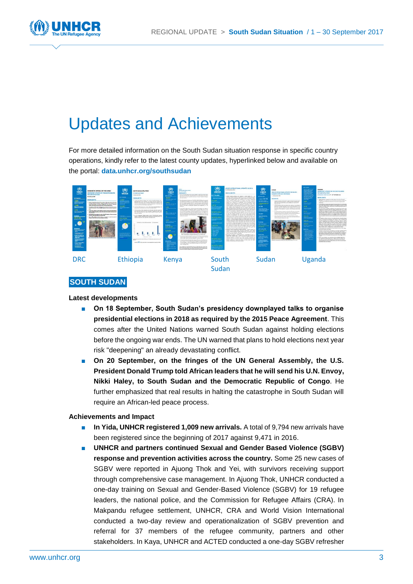

## Updates and Achievements

For more detailed information on the South Sudan situation response in specific country operations, kindly refer to the latest county updates, hyperlinked below and available on the portal: **[data.unhcr.org/southsudan](http://data.unhcr.org/southsudan)**



#### **SOUTH SUDAN**

#### **Latest developments**

- On 18 September, South Sudan's presidency downplayed talks to organise **presidential elections in 2018 as required by the 2015 Peace Agreement**. This comes after the United Nations warned South Sudan against holding elections before the ongoing war ends. The UN warned that plans to hold elections next year risk "deepening" an already devastating conflict.
- On 20 September, on the fringes of the UN General Assembly, the U.S. **President Donald Trump told African leaders that he will send his U.N. Envoy, Nikki Haley, to South Sudan and the Democratic Republic of Congo**. He further emphasized that real results in halting the catastrophe in South Sudan will require an African-led peace process.

#### **Achievements and Impact**

- **In Yida, UNHCR registered 1,009 new arrivals.** A total of 9,794 new arrivals have been registered since the beginning of 2017 against 9,471 in 2016.
- **UNHCR and partners continued Sexual and Gender Based Violence (SGBV) response and prevention activities across the country.** Some 25 new cases of SGBV were reported in Ajuong Thok and Yei, with survivors receiving support through comprehensive case management. In Ajuong Thok, UNHCR conducted a one-day training on Sexual and Gender-Based Violence (SGBV) for 19 refugee leaders, the national police, and the Commission for Refugee Affairs (CRA). In Makpandu refugee settlement, UNHCR, CRA and World Vision International conducted a two-day review and operationalization of SGBV prevention and referral for 37 members of the refugee community, partners and other stakeholders. In Kaya, UNHCR and ACTED conducted a one-day SGBV refresher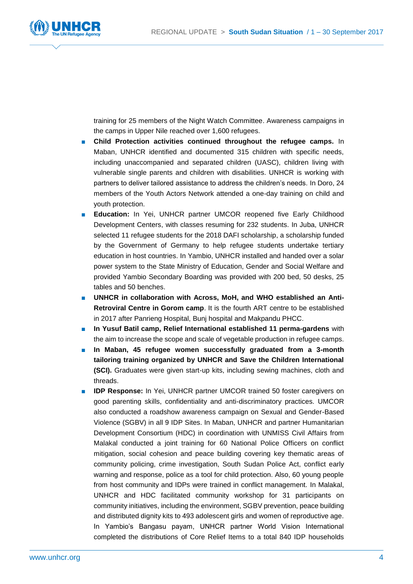

training for 25 members of the Night Watch Committee. Awareness campaigns in the camps in Upper Nile reached over 1,600 refugees.

- **Child Protection activities continued throughout the refugee camps.** In Maban, UNHCR identified and documented 315 children with specific needs, including unaccompanied and separated children (UASC), children living with vulnerable single parents and children with disabilities. UNHCR is working with partners to deliver tailored assistance to address the children's needs. In Doro, 24 members of the Youth Actors Network attended a one-day training on child and youth protection.
- **Education:** In Yei, UNHCR partner UMCOR reopened five Early Childhood Development Centers, with classes resuming for 232 students. In Juba, UNHCR selected 11 refugee students for the 2018 DAFI scholarship, a scholarship funded by the Government of Germany to help refugee students undertake tertiary education in host countries. In Yambio, UNHCR installed and handed over a solar power system to the State Ministry of Education, Gender and Social Welfare and provided Yambio Secondary Boarding was provided with 200 bed, 50 desks, 25 tables and 50 benches.
- UNHCR in collaboration with Across, MoH, and WHO established an Anti-**Retroviral Centre in Gorom camp**. It is the fourth ART centre to be established in 2017 after Panrieng Hospital, Bunj hospital and Makpandu PHCC.
- **In Yusuf Batil camp, Relief International established 11 perma-gardens** with the aim to increase the scope and scale of vegetable production in refugee camps.
- In Maban, 45 refugee women successfully graduated from a 3-month **tailoring training organized by UNHCR and Save the Children International (SCI).** Graduates were given start-up kits, including sewing machines, cloth and threads.
- **IDP Response:** In Yei, UNHCR partner UMCOR trained 50 foster caregivers on good parenting skills, confidentiality and anti-discriminatory practices. UMCOR also conducted a roadshow awareness campaign on Sexual and Gender-Based Violence (SGBV) in all 9 IDP Sites. In Maban, UNHCR and partner Humanitarian Development Consortium (HDC) in coordination with UNMISS Civil Affairs from Malakal conducted a joint training for 60 National Police Officers on conflict mitigation, social cohesion and peace building covering key thematic areas of community policing, crime investigation, South Sudan Police Act, conflict early warning and response, police as a tool for child protection. Also, 60 young people from host community and IDPs were trained in conflict management. In Malakal, UNHCR and HDC facilitated community workshop for 31 participants on community initiatives, including the environment, SGBV prevention, peace building and distributed dignity kits to 493 adolescent girls and women of reproductive age. In Yambio's Bangasu payam, UNHCR partner World Vision International completed the distributions of Core Relief Items to a total 840 IDP households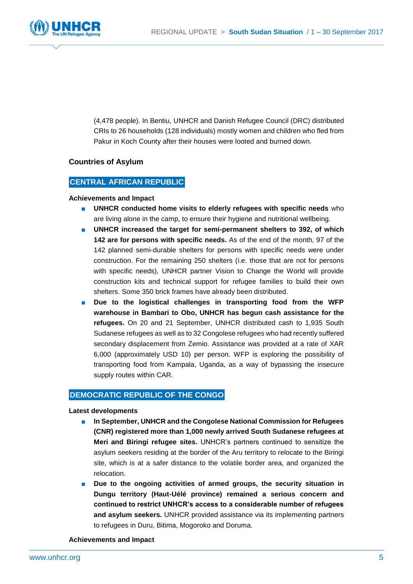

(4,478 people). In Bentiu, UNHCR and Danish Refugee Council (DRC) distributed CRIs to 26 households (128 individuals) mostly women and children who fled from Pakur in Koch County after their houses were looted and burned down.

#### **Countries of Asylum**

#### **CENTRAL AFRICAN REPUBLIC**

#### **Achievements and Impact**

- **UNHCR conducted home visits to elderly refugees with specific needs** who are living alone in the camp, to ensure their hygiene and nutritional wellbeing.
- UNHCR increased the target for semi-permanent shelters to 392, of which **142 are for persons with specific needs.** As of the end of the month, 97 of the 142 planned semi-durable shelters for persons with specific needs were under construction. For the remaining 250 shelters (i.e. those that are not for persons with specific needs), UNHCR partner Vision to Change the World will provide construction kits and technical support for refugee families to build their own shelters. Some 350 brick frames have already been distributed.
- Due to the logistical challenges in transporting food from the WFP **warehouse in Bambari to Obo, UNHCR has begun cash assistance for the refugees.** On 20 and 21 September, UNHCR distributed cash to 1,935 South Sudanese refugees as well as to 32 Congolese refugees who had recently suffered secondary displacement from Zemio. Assistance was provided at a rate of XAR 6,000 (approximately USD 10) per person. WFP is exploring the possibility of transporting food from Kampala, Uganda, as a way of bypassing the insecure supply routes within CAR.

#### **DEMOCRATIC REPUBLIC OF THE CONGO**

#### **Latest developments**

- **In September, UNHCR and the Congolese National Commission for Refugees (CNR) registered more than 1,000 newly arrived South Sudanese refugees at Meri and Biringi refugee sites.** UNHCR's partners continued to sensitize the asylum seekers residing at the border of the Aru territory to relocate to the Biringi site, which is at a safer distance to the volatile border area, and organized the relocation.
- Due to the ongoing activities of armed groups, the security situation in **Dungu territory (Haut-Uélé province) remained a serious concern and continued to restrict UNHCR's access to a considerable number of refugees and asylum seekers.** UNHCR provided assistance via its implementing partners to refugees in Duru, Bitima, Mogoroko and Doruma.

**Achievements and Impact**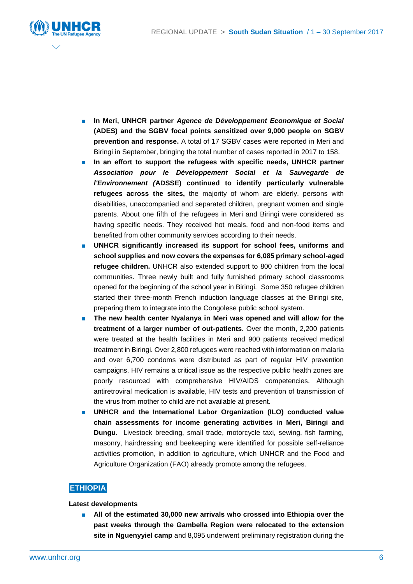

- **In Meri, UNHCR partner** *Agence de Développement Economique et Social* **(ADES) and the SGBV focal points sensitized over 9,000 people on SGBV prevention and response.** A total of 17 SGBV cases were reported in Meri and Biringi in September, bringing the total number of cases reported in 2017 to 158.
- In an effort to support the refugees with specific needs, UNHCR partner *Association pour le Développement Social et la Sauvegarde de l'Environnement (***ADSSE) continued to identify particularly vulnerable refugees across the sites,** the majority of whom are elderly, persons with disabilities, unaccompanied and separated children, pregnant women and single parents. About one fifth of the refugees in Meri and Biringi were considered as having specific needs. They received hot meals, food and non-food items and benefited from other community services according to their needs.
- **UNHCR significantly increased its support for school fees, uniforms and school supplies and now covers the expenses for 6,085 primary school-aged refugee children.** UNHCR also extended support to 800 children from the local communities. Three newly built and fully furnished primary school classrooms opened for the beginning of the school year in Biringi. Some 350 refugee children started their three-month French induction language classes at the Biringi site, preparing them to integrate into the Congolese public school system.
- The new health center Nyalanya in Meri was opened and will allow for the **treatment of a larger number of out-patients.** Over the month, 2,200 patients were treated at the health facilities in Meri and 900 patients received medical treatment in Biringi. Over 2,800 refugees were reached with information on malaria and over 6,700 condoms were distributed as part of regular HIV prevention campaigns. HIV remains a critical issue as the respective public health zones are poorly resourced with comprehensive HIV/AIDS competencies. Although antiretroviral medication is available, HIV tests and prevention of transmission of the virus from mother to child are not available at present.
- **UNHCR** and the International Labor Organization (ILO) conducted value **chain assessments for income generating activities in Meri, Biringi and Dungu.** Livestock breeding, small trade, motorcycle taxi, sewing, fish farming, masonry, hairdressing and beekeeping were identified for possible self-reliance activities promotion, in addition to agriculture, which UNHCR and the Food and Agriculture Organization (FAO) already promote among the refugees.

### **ETHIOPIA**

#### **Latest developments**

■ All of the estimated 30,000 new arrivals who crossed into Ethiopia over the **past weeks through the Gambella Region were relocated to the extension site in Nguenyyiel camp** and 8,095 underwent preliminary registration during the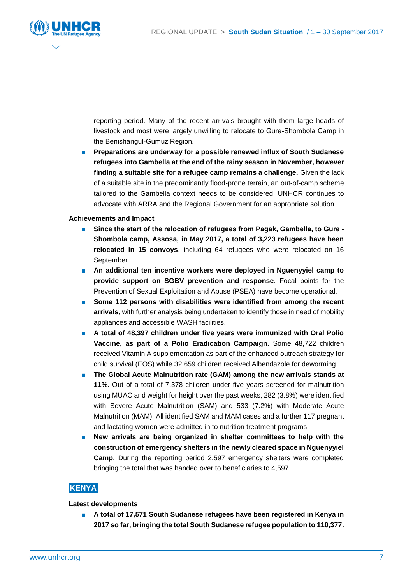

reporting period. Many of the recent arrivals brought with them large heads of livestock and most were largely unwilling to relocate to Gure-Shombola Camp in the Benishangul-Gumuz Region.

■ **Preparations are underway for a possible renewed influx of South Sudanese refugees into Gambella at the end of the rainy season in November, however finding a suitable site for a refugee camp remains a challenge.** Given the lack of a suitable site in the predominantly flood-prone terrain, an out-of-camp scheme tailored to the Gambella context needs to be considered. UNHCR continues to advocate with ARRA and the Regional Government for an appropriate solution.

#### **Achievements and Impact**

- **Since the start of the relocation of refugees from Pagak, Gambella, to Gure - Shombola camp, Assosa, in May 2017, a total of 3,223 refugees have been relocated in 15 convoys**, including 64 refugees who were relocated on 16 September.
- **An additional ten incentive workers were deployed in Nguenyyiel camp to provide support on SGBV prevention and response**. Focal points for the Prevention of Sexual Exploitation and Abuse (PSEA) have become operational.
- Some 112 persons with disabilities were identified from among the recent **arrivals,** with further analysis being undertaken to identify those in need of mobility appliances and accessible WASH facilities.
- A total of 48,397 children under five years were immunized with Oral Polio **Vaccine, as part of a Polio Eradication Campaign.** Some 48,722 children received Vitamin A supplementation as part of the enhanced outreach strategy for child survival (EOS) while 32,659 children received Albendazole for deworming.
- The Global Acute Malnutrition rate (GAM) among the new arrivals stands at **11%.** Out of a total of 7,378 children under five years screened for malnutrition using MUAC and weight for height over the past weeks, 282 (3.8%) were identified with Severe Acute Malnutrition (SAM) and 533 (7.2%) with Moderate Acute Malnutrition (MAM). All identified SAM and MAM cases and a further 117 pregnant and lactating women were admitted in to nutrition treatment programs.
- New arrivals are being organized in shelter committees to help with the **construction of emergency shelters in the newly cleared space in Nguenyyiel Camp.** During the reporting period 2,597 emergency shelters were completed bringing the total that was handed over to beneficiaries to 4,597.

### **KENYA**

#### **Latest developments**

■ A total of 17,571 South Sudanese refugees have been registered in Kenya in **2017 so far, bringing the total South Sudanese refugee population to 110,377.**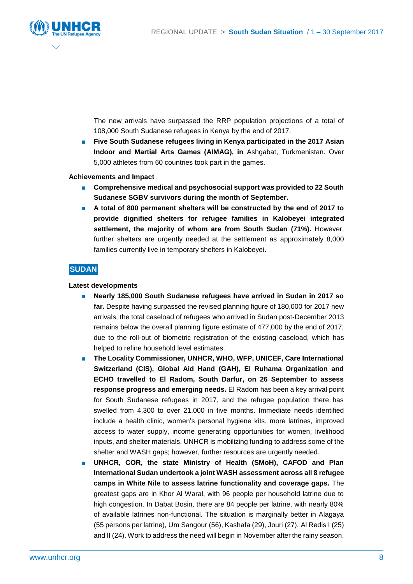

The new arrivals have surpassed the RRP population projections of a total of 108,000 South Sudanese refugees in Kenya by the end of 2017.

**Five South Sudanese refugees living in Kenya participated in the 2017 Asian Indoor and Martial Arts Games (AIMAG), in** Ashgabat, Turkmenistan. Over 5,000 athletes from 60 countries took part in the games.

#### **Achievements and Impact**

- Comprehensive medical and psychosocial support was provided to 22 South **Sudanese SGBV survivors during the month of September.**
- **A total of 800 permanent shelters will be constructed by the end of 2017 to provide dignified shelters for refugee families in Kalobeyei integrated settlement, the majority of whom are from South Sudan (71%).** However, further shelters are urgently needed at the settlement as approximately 8,000 families currently live in temporary shelters in Kalobeyei.

### **SUDAN**

#### **Latest developments**

- **Nearly 185,000 South Sudanese refugees have arrived in Sudan in 2017 so far.** Despite having surpassed the revised planning figure of 180,000 for 2017 new arrivals, the total caseload of refugees who arrived in Sudan post-December 2013 remains below the overall planning figure estimate of 477,000 by the end of 2017, due to the roll-out of biometric registration of the existing caseload, which has helped to refine household level estimates.
- **The Locality Commissioner, UNHCR, WHO, WFP, UNICEF, Care International Switzerland (CIS), Global Aid Hand (GAH), El Ruhama Organization and ECHO travelled to El Radom, South Darfur, on 26 September to assess response progress and emerging needs.** El Radom has been a key arrival point for South Sudanese refugees in 2017, and the refugee population there has swelled from 4,300 to over 21,000 in five months. Immediate needs identified include a health clinic, women's personal hygiene kits, more latrines, improved access to water supply, income generating opportunities for women, livelihood inputs, and shelter materials. UNHCR is mobilizing funding to address some of the shelter and WASH gaps; however, further resources are urgently needed.
- **UNHCR, COR, the state Ministry of Health (SMoH), CAFOD and Plan International Sudan undertook a joint WASH assessment across all 8 refugee camps in White Nile to assess latrine functionality and coverage gaps.** The greatest gaps are in Khor Al Waral, with 96 people per household latrine due to high congestion. In Dabat Bosin, there are 84 people per latrine, with nearly 80% of available latrines non-functional. The situation is marginally better in Alagaya (55 persons per latrine), Um Sangour (56), Kashafa (29), Jouri (27), Al Redis I (25) and II (24). Work to address the need will begin in November after the rainy season.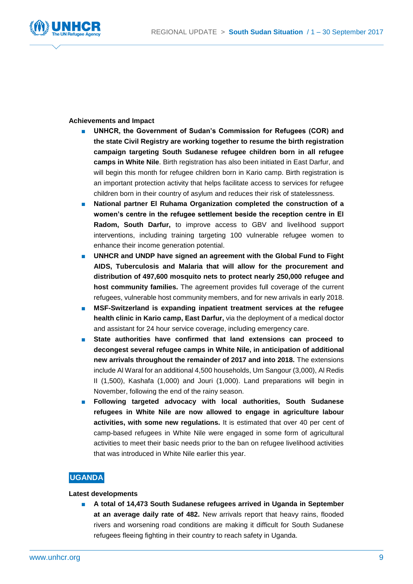

#### **Achievements and Impact**

- UNHCR, the Government of Sudan's Commission for Refugees (COR) and **the state Civil Registry are working together to resume the birth registration campaign targeting South Sudanese refugee children born in all refugee camps in White Nile**. Birth registration has also been initiated in East Darfur, and will begin this month for refugee children born in Kario camp. Birth registration is an important protection activity that helps facilitate access to services for refugee children born in their country of asylum and reduces their risk of statelessness.
- **National partner El Ruhama Organization completed the construction of a women's centre in the refugee settlement beside the reception centre in El Radom, South Darfur,** to improve access to GBV and livelihood support interventions, including training targeting 100 vulnerable refugee women to enhance their income generation potential.
- UNHCR and UNDP have signed an agreement with the Global Fund to Fight **AIDS, Tuberculosis and Malaria that will allow for the procurement and distribution of 497,600 mosquito nets to protect nearly 250,000 refugee and host community families.** The agreement provides full coverage of the current refugees, vulnerable host community members, and for new arrivals in early 2018.
- MSF-Switzerland is expanding inpatient treatment services at the refugee **health clinic in Kario camp, East Darfur,** via the deployment of a medical doctor and assistant for 24 hour service coverage, including emergency care.
- **State authorities have confirmed that land extensions can proceed to decongest several refugee camps in White Nile, in anticipation of additional new arrivals throughout the remainder of 2017 and into 2018.** The extensions include Al Waral for an additional 4,500 households, Um Sangour (3,000), Al Redis II (1,500), Kashafa (1,000) and Jouri (1,000). Land preparations will begin in November, following the end of the rainy season.
- **Following targeted advocacy with local authorities, South Sudanese refugees in White Nile are now allowed to engage in agriculture labour activities, with some new regulations.** It is estimated that over 40 per cent of camp-based refugees in White Nile were engaged in some form of agricultural activities to meet their basic needs prior to the ban on refugee livelihood activities that was introduced in White Nile earlier this year.

### **UGANDA**

#### **Latest developments**

A total of 14,473 South Sudanese refugees arrived in Uganda in September **at an average daily rate of 482.** New arrivals report that heavy rains, flooded rivers and worsening road conditions are making it difficult for South Sudanese refugees fleeing fighting in their country to reach safety in Uganda.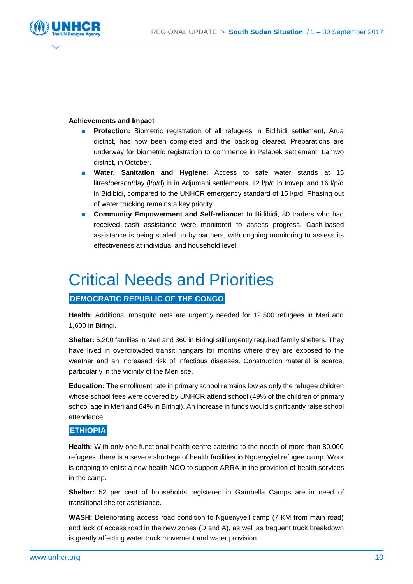

#### **Achievements and Impact**

- **Protection:** Biometric registration of all refugees in Bidibidi settlement, Arua district, has now been completed and the backlog cleared. Preparations are underway for biometric registration to commence in Palabek settlement, Lamwo district, in October.
- **Water, Sanitation and Hygiene**: Access to safe water stands at 15 litres/person/day (l/p/d) in in Adjumani settlements, 12 l/p/d in Imvepi and 16 l/p/d in Bidibidi, compared to the UNHCR emergency standard of 15 l/p/d. Phasing out of water trucking remains a key priority.
- **Community Empowerment and Self-reliance:** In Bidibidi, 80 traders who had received cash assistance were monitored to assess progress. Cash-based assistance is being scaled up by partners, with ongoing monitoring to assess its effectiveness at individual and household level.

## Critical Needs and Priorities

### **DEMOCRATIC REPUBLIC OF THE CONGO**

**Health:** Additional mosquito nets are urgently needed for 12,500 refugees in Meri and 1,600 in Biringi.

**Shelter:** 5,200 families in Meri and 360 in Biringi still urgently required family shelters. They have lived in overcrowded transit hangars for months where they are exposed to the weather and an increased risk of infectious diseases. Construction material is scarce, particularly in the vicinity of the Meri site.

**Education:** The enrollment rate in primary school remains low as only the refugee children whose school fees were covered by UNHCR attend school (49% of the children of primary school age in Meri and 64% in Biringi). An increase in funds would significantly raise school attendance.

### **ETHIOPIA**

**Health:** With only one functional health centre catering to the needs of more than 80,000 refugees, there is a severe shortage of health facilities in Nguenyyiel refugee camp. Work is ongoing to enlist a new health NGO to support ARRA in the provision of health services in the camp.

**Shelter:** 52 per cent of households registered in Gambella Camps are in need of transitional shelter assistance.

**WASH:** Deteriorating access road condition to Nguenyyeil camp (7 KM from main road) and lack of access road in the new zones (D and A), as well as frequent truck breakdown is greatly affecting water truck movement and water provision.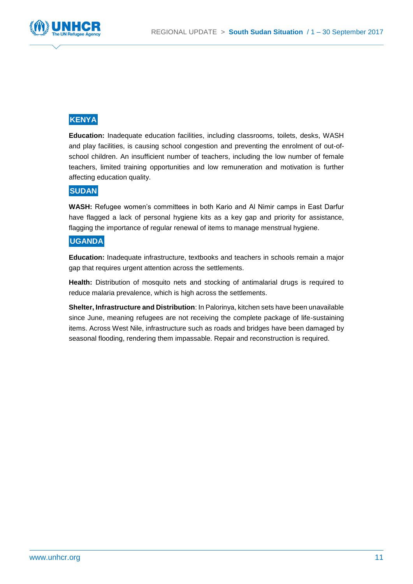

## **KENYA**

**Education:** Inadequate education facilities, including classrooms, toilets, desks, WASH and play facilities, is causing school congestion and preventing the enrolment of out-ofschool children. An insufficient number of teachers, including the low number of female teachers, limited training opportunities and low remuneration and motivation is further affecting education quality.

### **SUDAN**

**WASH:** Refugee women's committees in both Kario and Al Nimir camps in East Darfur have flagged a lack of personal hygiene kits as a key gap and priority for assistance, flagging the importance of regular renewal of items to manage menstrual hygiene.

### **UGANDA**

**Education:** Inadequate infrastructure, textbooks and teachers in schools remain a major gap that requires urgent attention across the settlements.

**Health:** Distribution of mosquito nets and stocking of antimalarial drugs is required to reduce malaria prevalence, which is high across the settlements.

**Shelter, Infrastructure and Distribution**: In Palorinya, kitchen sets have been unavailable since June, meaning refugees are not receiving the complete package of life-sustaining items. Across West Nile, infrastructure such as roads and bridges have been damaged by seasonal flooding, rendering them impassable. Repair and reconstruction is required.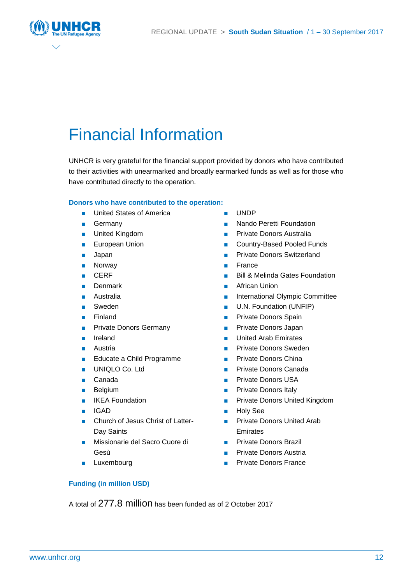

## Financial Information

UNHCR is very grateful for the financial support provided by donors who have contributed to their activities with unearmarked and broadly earmarked funds as well as for those who have contributed directly to the operation.

#### **Donors who have contributed to the operation:**

- United States of America
- Germany
- United Kingdom
- European Union
- Japan
- Norway
- CERF
- Denmark
- Australia
- Sweden
- **Finland**
- Private Donors Germany
- Ireland
- Austria
- Educate a Child Programme
- UNIQLO Co. Ltd
- Canada
- Belgium
- IKEA Foundation
- IGAD
- Church of Jesus Christ of Latter-Day Saints
- Missionarie del Sacro Cuore di Gesù
- Luxembourg
- UNDP
- Nando Peretti Foundation
- Private Donors Australia
- Country-Based Pooled Funds
- **Private Donors Switzerland**
- France
- Bill & Melinda Gates Foundation
- **African Union**
- International Olympic Committee
- U.N. Foundation (UNFIP)
- Private Donors Spain
- Private Donors Japan
- United Arab Emirates
- **Private Donors Sweden**
- Private Donors China
- Private Donors Canada
- **Private Donors USA**
- Private Donors Italy
- Private Donors United Kingdom
- Holy See
- Private Donors United Arab Emirates
- Private Donors Brazil
- Private Donors Austria
- **Private Donors France**

### **Funding (in million USD)**

A total of 277.8 million has been funded as of 2 October 2017